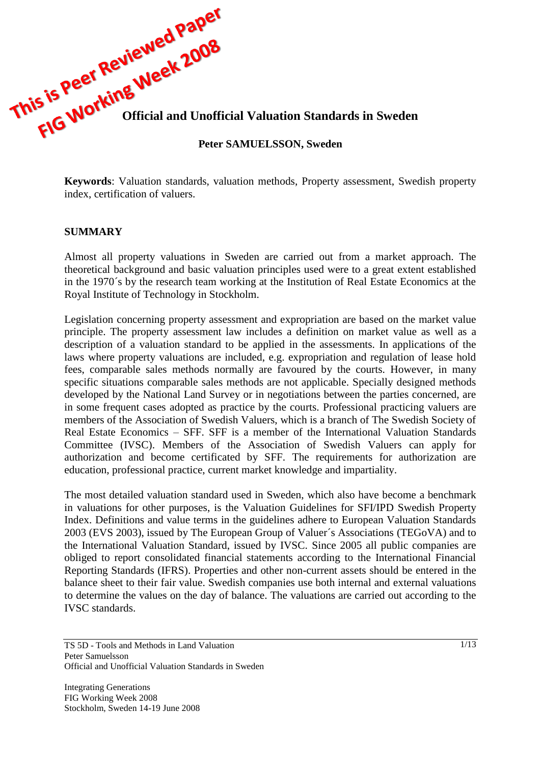

**Keywords**: Valuation standards, valuation methods, Property assessment, Swedish property index, certification of valuers.

#### **SUMMARY**

Almost all property valuations in Sweden are carried out from a market approach. The theoretical background and basic valuation principles used were to a great extent established in the 1970´s by the research team working at the Institution of Real Estate Economics at the Royal Institute of Technology in Stockholm.

Legislation concerning property assessment and expropriation are based on the market value principle. The property assessment law includes a definition on market value as well as a description of a valuation standard to be applied in the assessments. In applications of the laws where property valuations are included, e.g. expropriation and regulation of lease hold fees, comparable sales methods normally are favoured by the courts. However, in many specific situations comparable sales methods are not applicable. Specially designed methods developed by the National Land Survey or in negotiations between the parties concerned, are in some frequent cases adopted as practice by the courts. Professional practicing valuers are members of the Association of Swedish Valuers, which is a branch of The Swedish Society of Real Estate Economics – SFF. SFF is a member of the International Valuation Standards Committee (IVSC). Members of the Association of Swedish Valuers can apply for authorization and become certificated by SFF. The requirements for authorization are education, professional practice, current market knowledge and impartiality.

The most detailed valuation standard used in Sweden, which also have become a benchmark in valuations for other purposes, is the Valuation Guidelines for SFI/IPD Swedish Property Index. Definitions and value terms in the guidelines adhere to European Valuation Standards 2003 (EVS 2003), issued by The European Group of Valuer´s Associations (TEGoVA) and to the International Valuation Standard, issued by IVSC. Since 2005 all public companies are obliged to report consolidated financial statements according to the International Financial Reporting Standards (IFRS). Properties and other non-current assets should be entered in the balance sheet to their fair value. Swedish companies use both internal and external valuations to determine the values on the day of balance. The valuations are carried out according to the IVSC standards.

TS 5D - Tools and Methods in Land Valuation Peter Samuelsson Official and Unofficial Valuation Standards in Sweden

Integrating Generations FIG Working Week 2008 Stockholm, Sweden 14-19 June 2008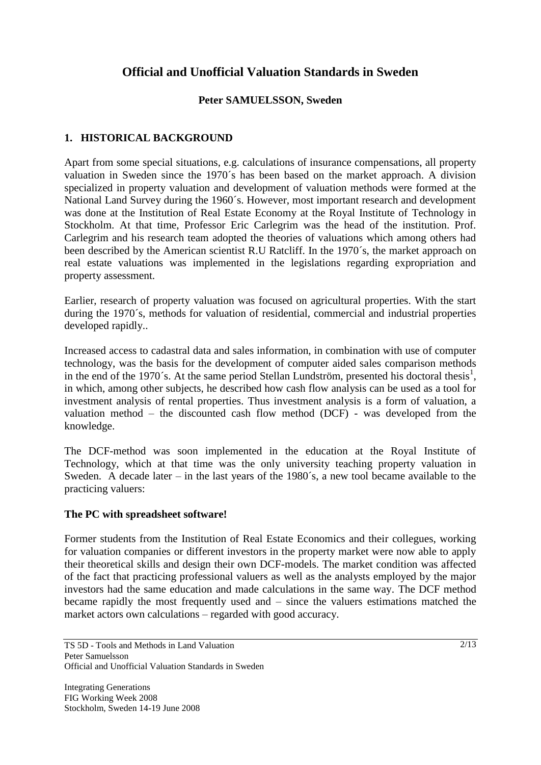# **Official and Unofficial Valuation Standards in Sweden**

### **Peter SAMUELSSON, Sweden**

### **1. HISTORICAL BACKGROUND**

Apart from some special situations, e.g. calculations of insurance compensations, all property valuation in Sweden since the 1970´s has been based on the market approach. A division specialized in property valuation and development of valuation methods were formed at the National Land Survey during the 1960´s. However, most important research and development was done at the Institution of Real Estate Economy at the Royal Institute of Technology in Stockholm. At that time, Professor Eric Carlegrim was the head of the institution. Prof. Carlegrim and his research team adopted the theories of valuations which among others had been described by the American scientist R.U Ratcliff. In the 1970´s, the market approach on real estate valuations was implemented in the legislations regarding expropriation and property assessment.

Earlier, research of property valuation was focused on agricultural properties. With the start during the 1970´s, methods for valuation of residential, commercial and industrial properties developed rapidly..

Increased access to cadastral data and sales information, in combination with use of computer technology, was the basis for the development of computer aided sales comparison methods in the end of the 1970's. At the same period Stellan Lundström, presented his doctoral thesis<sup>1</sup>, in which, among other subjects, he described how cash flow analysis can be used as a tool for investment analysis of rental properties. Thus investment analysis is a form of valuation, a valuation method – the discounted cash flow method (DCF) - was developed from the knowledge.

The DCF-method was soon implemented in the education at the Royal Institute of Technology, which at that time was the only university teaching property valuation in Sweden. A decade later – in the last years of the 1980´s, a new tool became available to the practicing valuers:

### **The PC with spreadsheet software!**

Former students from the Institution of Real Estate Economics and their collegues, working for valuation companies or different investors in the property market were now able to apply their theoretical skills and design their own DCF-models. The market condition was affected of the fact that practicing professional valuers as well as the analysts employed by the major investors had the same education and made calculations in the same way. The DCF method became rapidly the most frequently used and – since the valuers estimations matched the market actors own calculations – regarded with good accuracy.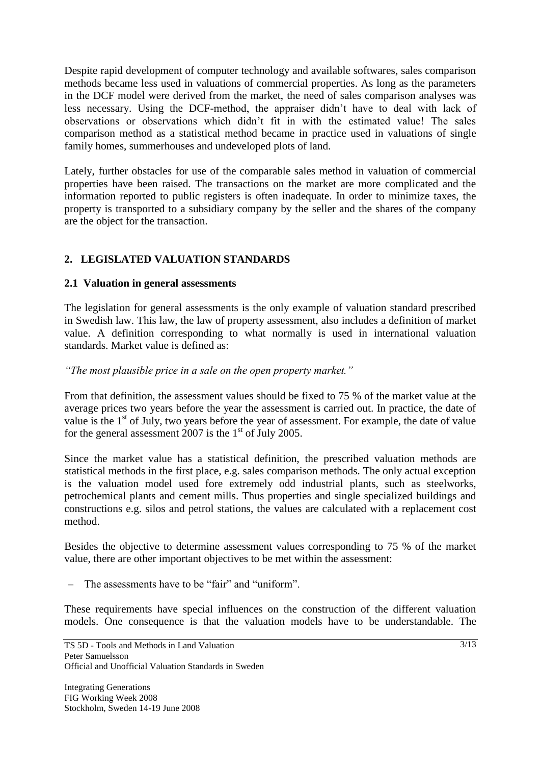Despite rapid development of computer technology and available softwares, sales comparison methods became less used in valuations of commercial properties. As long as the parameters in the DCF model were derived from the market, the need of sales comparison analyses was less necessary. Using the DCF-method, the appraiser didn't have to deal with lack of observations or observations which didn't fit in with the estimated value! The sales comparison method as a statistical method became in practice used in valuations of single family homes, summerhouses and undeveloped plots of land.

Lately, further obstacles for use of the comparable sales method in valuation of commercial properties have been raised. The transactions on the market are more complicated and the information reported to public registers is often inadequate. In order to minimize taxes, the property is transported to a subsidiary company by the seller and the shares of the company are the object for the transaction.

## **2. LEGISLATED VALUATION STANDARDS**

### **2.1 Valuation in general assessments**

The legislation for general assessments is the only example of valuation standard prescribed in Swedish law. This law, the law of property assessment, also includes a definition of market value. A definition corresponding to what normally is used in international valuation standards. Market value is defined as:

*"The most plausible price in a sale on the open property market."*

From that definition, the assessment values should be fixed to 75 % of the market value at the average prices two years before the year the assessment is carried out. In practice, the date of value is the  $1<sup>st</sup>$  of July, two years before the year of assessment. For example, the date of value for the general assessment 2007 is the  $1<sup>st</sup>$  of July 2005.

Since the market value has a statistical definition, the prescribed valuation methods are statistical methods in the first place, e.g. sales comparison methods. The only actual exception is the valuation model used fore extremely odd industrial plants, such as steelworks, petrochemical plants and cement mills. Thus properties and single specialized buildings and constructions e.g. silos and petrol stations, the values are calculated with a replacement cost method.

Besides the objective to determine assessment values corresponding to 75 % of the market value, there are other important objectives to be met within the assessment:

– The assessments have to be "fair" and "uniform".

These requirements have special influences on the construction of the different valuation models. One consequence is that the valuation models have to be understandable. The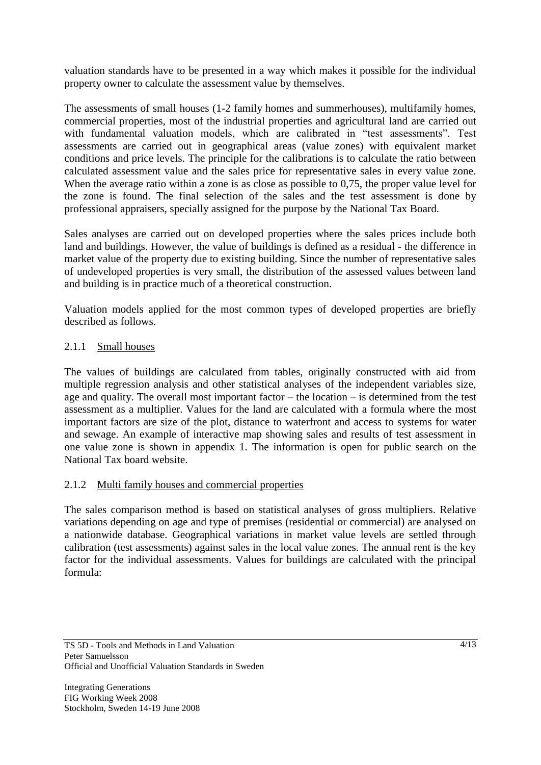valuation standards have to be presented in a way which makes it possible for the individual property owner to calculate the assessment value by themselves.

The assessments of small houses (1-2 family homes and summerhouses), multifamily homes, commercial properties, most of the industrial properties and agricultural land are carried out with fundamental valuation models, which are calibrated in "test assessments". Test assessments are carried out in geographical areas (value zones) with equivalent market conditions and price levels. The principle for the calibrations is to calculate the ratio between calculated assessment value and the sales price for representative sales in every value zone. When the average ratio within a zone is as close as possible to 0,75, the proper value level for the zone is found. The final selection of the sales and the test assessment is done by professional appraisers, specially assigned for the purpose by the National Tax Board.

Sales analyses are carried out on developed properties where the sales prices include both land and buildings. However, the value of buildings is defined as a residual - the difference in market value of the property due to existing building. Since the number of representative sales of undeveloped properties is very small, the distribution of the assessed values between land and building is in practice much of a theoretical construction.

Valuation models applied for the most common types of developed properties are briefly described as follows.

### 2.1.1 Small houses

The values of buildings are calculated from tables, originally constructed with aid from multiple regression analysis and other statistical analyses of the independent variables size, age and quality. The overall most important factor – the location – is determined from the test assessment as a multiplier. Values for the land are calculated with a formula where the most important factors are size of the plot, distance to waterfront and access to systems for water and sewage. An example of interactive map showing sales and results of test assessment in one value zone is shown in appendix 1. The information is open for public search on the National Tax board website.

### 2.1.2 Multi family houses and commercial properties

The sales comparison method is based on statistical analyses of gross multipliers. Relative variations depending on age and type of premises (residential or commercial) are analysed on a nationwide database. Geographical variations in market value levels are settled through calibration (test assessments) against sales in the local value zones. The annual rent is the key factor for the individual assessments. Values for buildings are calculated with the principal formula: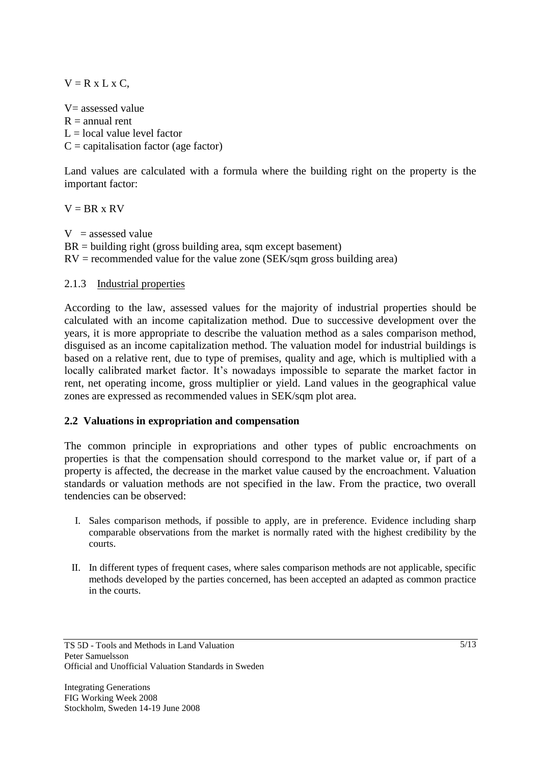$V = R x L x C$ 

 $V=$  assessed value  $R =$ annual rent  $L =$ local value level factor  $C =$  capitalisation factor (age factor)

Land values are calculated with a formula where the building right on the property is the important factor:

 $V = BR \times RV$ 

 $V =$  assessed value  $BR =$  building right (gross building area, sqm except basement)  $RV =$  recommended value for the value zone (SEK/sqm gross building area)

### 2.1.3 Industrial properties

According to the law, assessed values for the majority of industrial properties should be calculated with an income capitalization method. Due to successive development over the years, it is more appropriate to describe the valuation method as a sales comparison method, disguised as an income capitalization method. The valuation model for industrial buildings is based on a relative rent, due to type of premises, quality and age, which is multiplied with a locally calibrated market factor. It's nowadays impossible to separate the market factor in rent, net operating income, gross multiplier or yield. Land values in the geographical value zones are expressed as recommended values in SEK/sqm plot area.

### **2.2 Valuations in expropriation and compensation**

The common principle in expropriations and other types of public encroachments on properties is that the compensation should correspond to the market value or, if part of a property is affected, the decrease in the market value caused by the encroachment. Valuation standards or valuation methods are not specified in the law. From the practice, two overall tendencies can be observed:

- I. Sales comparison methods, if possible to apply, are in preference. Evidence including sharp comparable observations from the market is normally rated with the highest credibility by the courts.
- II. In different types of frequent cases, where sales comparison methods are not applicable, specific methods developed by the parties concerned, has been accepted an adapted as common practice in the courts.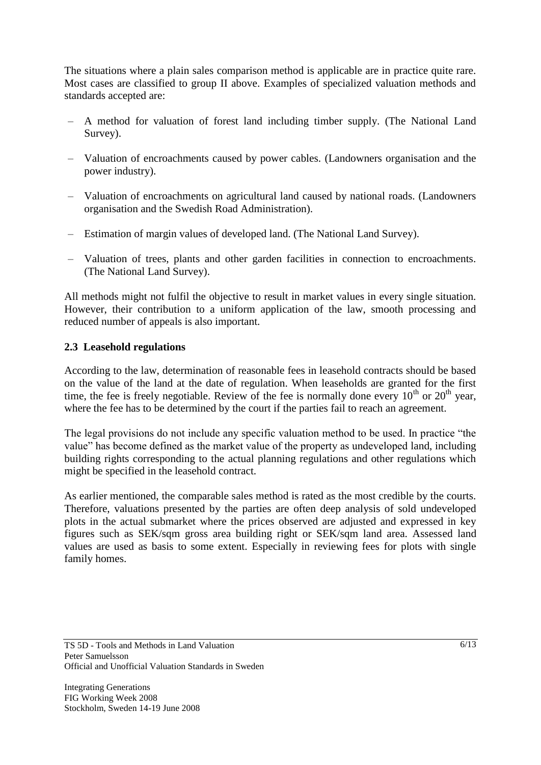The situations where a plain sales comparison method is applicable are in practice quite rare. Most cases are classified to group II above. Examples of specialized valuation methods and standards accepted are:

- A method for valuation of forest land including timber supply. (The National Land Survey).
- Valuation of encroachments caused by power cables. (Landowners organisation and the power industry).
- Valuation of encroachments on agricultural land caused by national roads. (Landowners organisation and the Swedish Road Administration).
- Estimation of margin values of developed land. (The National Land Survey).
- Valuation of trees, plants and other garden facilities in connection to encroachments. (The National Land Survey).

All methods might not fulfil the objective to result in market values in every single situation. However, their contribution to a uniform application of the law, smooth processing and reduced number of appeals is also important.

### **2.3 Leasehold regulations**

According to the law, determination of reasonable fees in leasehold contracts should be based on the value of the land at the date of regulation. When leaseholds are granted for the first time, the fee is freely negotiable. Review of the fee is normally done every  $10^{th}$  or  $20^{th}$  year, where the fee has to be determined by the court if the parties fail to reach an agreement.

The legal provisions do not include any specific valuation method to be used. In practice "the value" has become defined as the market value of the property as undeveloped land, including building rights corresponding to the actual planning regulations and other regulations which might be specified in the leasehold contract.

As earlier mentioned, the comparable sales method is rated as the most credible by the courts. Therefore, valuations presented by the parties are often deep analysis of sold undeveloped plots in the actual submarket where the prices observed are adjusted and expressed in key figures such as SEK/sqm gross area building right or SEK/sqm land area. Assessed land values are used as basis to some extent. Especially in reviewing fees for plots with single family homes.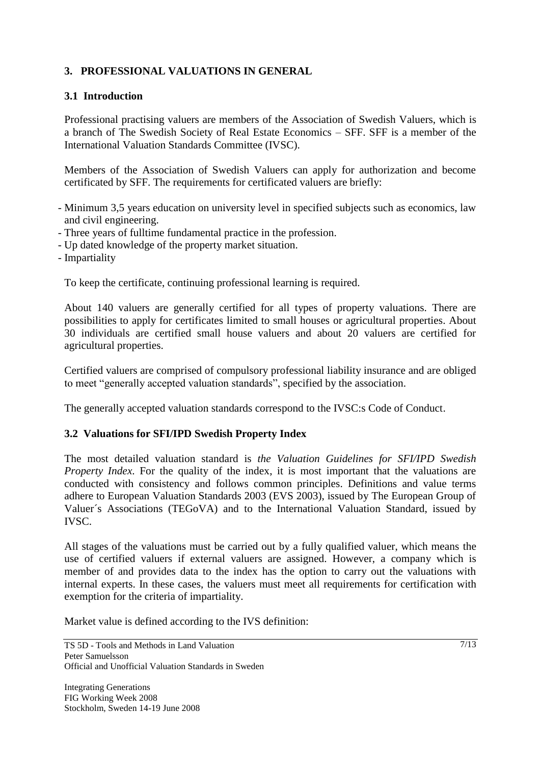## **3. PROFESSIONAL VALUATIONS IN GENERAL**

### **3.1 Introduction**

Professional practising valuers are members of the Association of Swedish Valuers, which is a branch of The Swedish Society of Real Estate Economics – SFF. SFF is a member of the International Valuation Standards Committee (IVSC).

Members of the Association of Swedish Valuers can apply for authorization and become certificated by SFF. The requirements for certificated valuers are briefly:

- Minimum 3,5 years education on university level in specified subjects such as economics, law and civil engineering.
- Three years of fulltime fundamental practice in the profession.
- Up dated knowledge of the property market situation.
- Impartiality

To keep the certificate, continuing professional learning is required.

About 140 valuers are generally certified for all types of property valuations. There are possibilities to apply for certificates limited to small houses or agricultural properties. About 30 individuals are certified small house valuers and about 20 valuers are certified for agricultural properties.

Certified valuers are comprised of compulsory professional liability insurance and are obliged to meet "generally accepted valuation standards", specified by the association.

The generally accepted valuation standards correspond to the IVSC:s Code of Conduct.

### **3.2 Valuations for SFI/IPD Swedish Property Index**

The most detailed valuation standard is *the Valuation Guidelines for SFI/IPD Swedish Property Index*. For the quality of the index, it is most important that the valuations are conducted with consistency and follows common principles. Definitions and value terms adhere to European Valuation Standards 2003 (EVS 2003), issued by The European Group of Valuer´s Associations (TEGoVA) and to the International Valuation Standard, issued by IVSC.

All stages of the valuations must be carried out by a fully qualified valuer, which means the use of certified valuers if external valuers are assigned. However, a company which is member of and provides data to the index has the option to carry out the valuations with internal experts. In these cases, the valuers must meet all requirements for certification with exemption for the criteria of impartiality.

Market value is defined according to the IVS definition: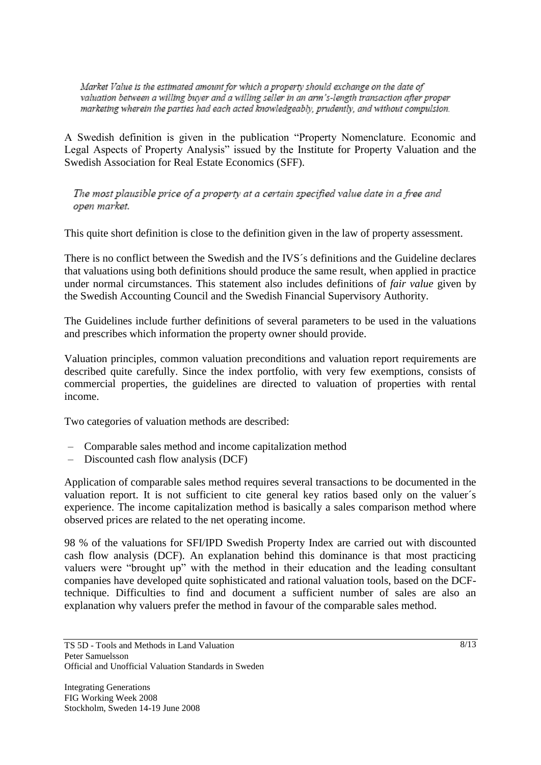Market Value is the estimated amount for which a property should exchange on the date of valuation between a willing buyer and a willing seller in an arm's-length transaction after proper marketing wherein the parties had each acted knowledgeably, prudently, and without compulsion.

A Swedish definition is given in the publication "Property Nomenclature. Economic and Legal Aspects of Property Analysis" issued by the Institute for Property Valuation and the Swedish Association for Real Estate Economics (SFF).

The most plausible price of a property at a certain specified value date in a free and open market.

This quite short definition is close to the definition given in the law of property assessment.

There is no conflict between the Swedish and the IVS´s definitions and the Guideline declares that valuations using both definitions should produce the same result, when applied in practice under normal circumstances. This statement also includes definitions of *fair value* given by the Swedish Accounting Council and the Swedish Financial Supervisory Authority.

The Guidelines include further definitions of several parameters to be used in the valuations and prescribes which information the property owner should provide.

Valuation principles, common valuation preconditions and valuation report requirements are described quite carefully. Since the index portfolio, with very few exemptions, consists of commercial properties, the guidelines are directed to valuation of properties with rental income.

Two categories of valuation methods are described:

- Comparable sales method and income capitalization method
- Discounted cash flow analysis (DCF)

Application of comparable sales method requires several transactions to be documented in the valuation report. It is not sufficient to cite general key ratios based only on the valuer´s experience. The income capitalization method is basically a sales comparison method where observed prices are related to the net operating income.

98 % of the valuations for SFI/IPD Swedish Property Index are carried out with discounted cash flow analysis (DCF). An explanation behind this dominance is that most practicing valuers were "brought up" with the method in their education and the leading consultant companies have developed quite sophisticated and rational valuation tools, based on the DCFtechnique. Difficulties to find and document a sufficient number of sales are also an explanation why valuers prefer the method in favour of the comparable sales method.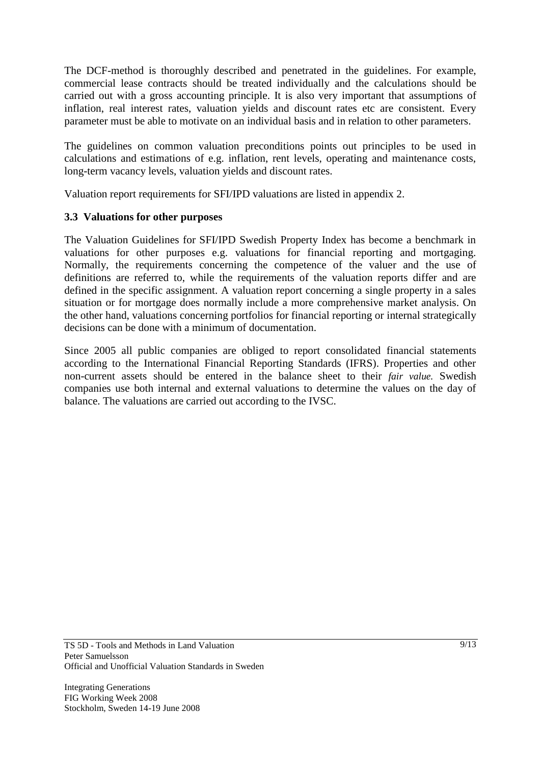The DCF-method is thoroughly described and penetrated in the guidelines. For example, commercial lease contracts should be treated individually and the calculations should be carried out with a gross accounting principle. It is also very important that assumptions of inflation, real interest rates, valuation yields and discount rates etc are consistent. Every parameter must be able to motivate on an individual basis and in relation to other parameters.

The guidelines on common valuation preconditions points out principles to be used in calculations and estimations of e.g. inflation, rent levels, operating and maintenance costs, long-term vacancy levels, valuation yields and discount rates.

Valuation report requirements for SFI/IPD valuations are listed in appendix 2.

### **3.3 Valuations for other purposes**

The Valuation Guidelines for SFI/IPD Swedish Property Index has become a benchmark in valuations for other purposes e.g. valuations for financial reporting and mortgaging. Normally, the requirements concerning the competence of the valuer and the use of definitions are referred to, while the requirements of the valuation reports differ and are defined in the specific assignment. A valuation report concerning a single property in a sales situation or for mortgage does normally include a more comprehensive market analysis. On the other hand, valuations concerning portfolios for financial reporting or internal strategically decisions can be done with a minimum of documentation.

Since 2005 all public companies are obliged to report consolidated financial statements according to the International Financial Reporting Standards (IFRS). Properties and other non-current assets should be entered in the balance sheet to their *fair value.* Swedish companies use both internal and external valuations to determine the values on the day of balance. The valuations are carried out according to the IVSC.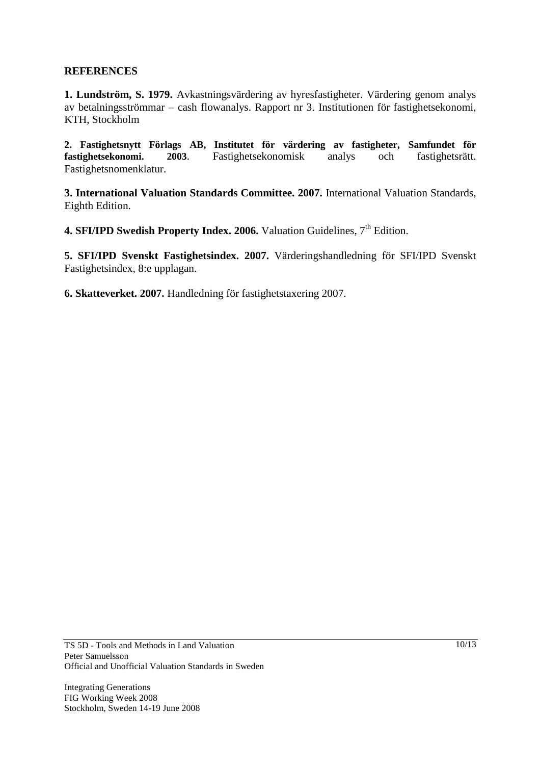#### **REFERENCES**

**1. Lundström, S. 1979.** Avkastningsvärdering av hyresfastigheter. Värdering genom analys av betalningsströmmar – cash flowanalys. Rapport nr 3. Institutionen för fastighetsekonomi, KTH, Stockholm

**2. Fastighetsnytt Förlags AB, Institutet för värdering av fastigheter, Samfundet för fastighetsekonomi. 2003**. Fastighetsekonomisk analys och fastighetsrätt. Fastighetsnomenklatur.

**3. International Valuation Standards Committee. 2007.** International Valuation Standards, Eighth Edition.

4. SFI/IPD Swedish Property Index. 2006. Valuation Guidelines, 7<sup>th</sup> Edition.

**5. SFI/IPD Svenskt Fastighetsindex. 2007.** Värderingshandledning för SFI/IPD Svenskt Fastighetsindex, 8:e upplagan.

**6. Skatteverket. 2007.** Handledning för fastighetstaxering 2007.

Integrating Generations FIG Working Week 2008 Stockholm, Sweden 14-19 June 2008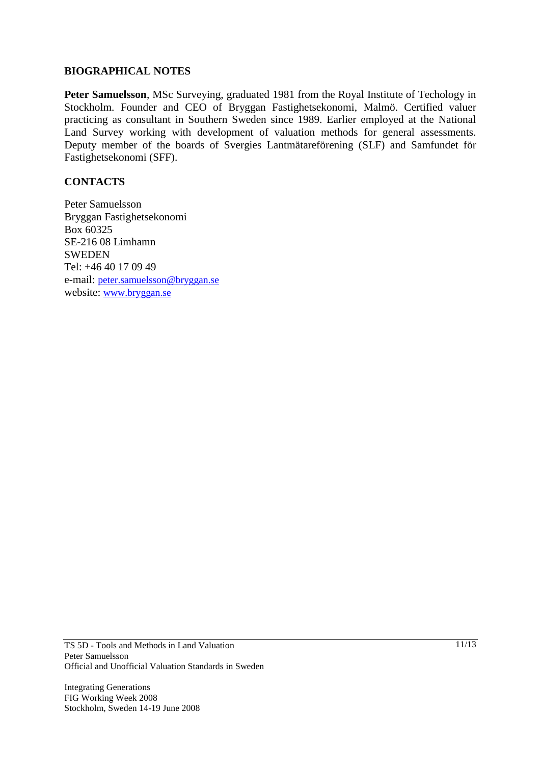#### **BIOGRAPHICAL NOTES**

**Peter Samuelsson**, MSc Surveying, graduated 1981 from the Royal Institute of Techology in Stockholm. Founder and CEO of Bryggan Fastighetsekonomi, Malmö. Certified valuer practicing as consultant in Southern Sweden since 1989. Earlier employed at the National Land Survey working with development of valuation methods for general assessments. Deputy member of the boards of Svergies Lantmätareförening (SLF) and Samfundet för Fastighetsekonomi (SFF).

#### **CONTACTS**

Peter Samuelsson Bryggan Fastighetsekonomi Box 60325 SE-216 08 Limhamn **SWEDEN** Tel: +46 40 17 09 49 e-mail: [peter.samuelsson@bryggan.se](mailto:peter.samuelsson@bryggan.se) website: [www.bryggan.se](http://www.bryggan.se/)

Integrating Generations FIG Working Week 2008 Stockholm, Sweden 14-19 June 2008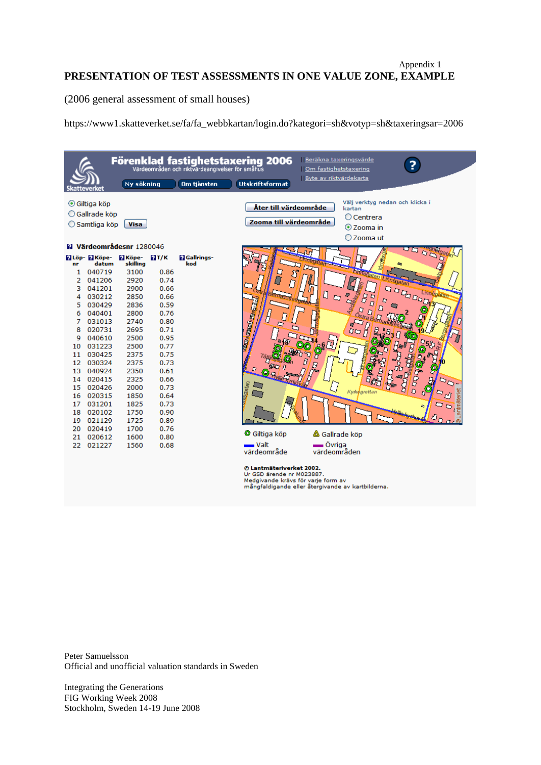#### Appendix 1 **PRESENTATION OF TEST ASSESSMENTS IN ONE VALUE ZONE, EXAMPLE**

(2006 general assessment of small houses)

https://www1.skatteverket.se/fa/fa\_webbkartan/login.do?kategori=sh&votyp=sh&taxeringsar=2006



Peter Samuelsson Official and unofficial valuation standards in Sweden

Integrating the Generations FIG Working Week 2008 Stockholm, Sweden 14-19 June 2008